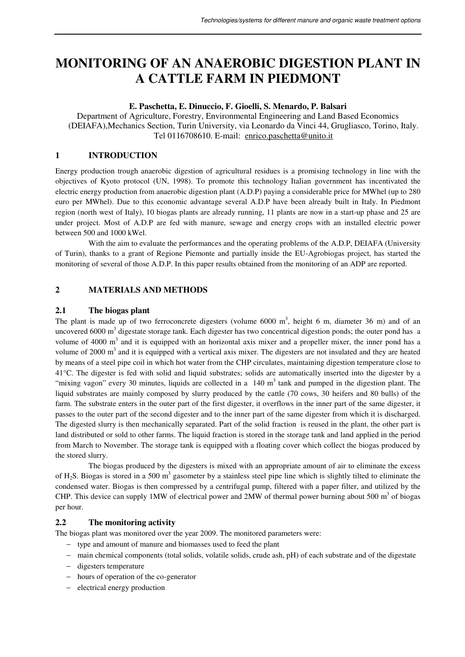# **MONITORING OF AN ANAEROBIC DIGESTION PLANT IN A CATTLE FARM IN PIEDMONT**

## **E. Paschetta, E. Dinuccio, F. Gioelli, S. Menardo, P. Balsari**

Department of Agriculture, Forestry, Environmental Engineering and Land Based Economics (DEIAFA),Mechanics Section, Turin University, via Leonardo da Vinci 44, Grugliasco, Torino, Italy. Tel 0116708610. E-mail: enrico.paschetta@unito.it

## **1 INTRODUCTION**

Energy production trough anaerobic digestion of agricultural residues is a promising technology in line with the objectives of Kyoto protocol (UN, 1998). To promote this technology Italian government has incentivated the electric energy production from anaerobic digestion plant (A.D.P) paying a considerable price for MWhel (up to 280 euro per MWhel). Due to this economic advantage several A.D.P have been already built in Italy. In Piedmont region (north west of Italy), 10 biogas plants are already running, 11 plants are now in a start-up phase and 25 are under project. Most of A.D.P are fed with manure, sewage and energy crops with an installed electric power between 500 and 1000 kWel.

With the aim to evaluate the performances and the operating problems of the A.D.P, DEIAFA (University of Turin), thanks to a grant of Regione Piemonte and partially inside the EU-Agrobiogas project, has started the monitoring of several of those A.D.P. In this paper results obtained from the monitoring of an ADP are reported.

# **2 MATERIALS AND METHODS**

### **2.1 The biogas plant**

The plant is made up of two ferroconcrete digesters (volume  $6000 \text{ m}^3$ , height 6 m, diameter 36 m) and of an uncovered 6000  $m<sup>3</sup>$  digestate storage tank. Each digester has two concentrical digestion ponds; the outer pond has a volume of 4000  $m<sup>3</sup>$  and it is equipped with an horizontal axis mixer and a propeller mixer, the inner pond has a volume of 2000  $m<sup>3</sup>$  and it is equipped with a vertical axis mixer. The digesters are not insulated and they are heated by means of a steel pipe coil in which hot water from the CHP circulates, maintaining digestion temperature close to 41°C. The digester is fed with solid and liquid substrates; solids are automatically inserted into the digester by a "mixing vagon" every 30 minutes, liquids are collected in a  $140 \text{ m}^3$  tank and pumped in the digestion plant. The liquid substrates are mainly composed by slurry produced by the cattle (70 cows, 30 heifers and 80 bulls) of the farm. The substrate enters in the outer part of the first digester, it overflows in the inner part of the same digester, it passes to the outer part of the second digester and to the inner part of the same digester from which it is discharged. The digested slurry is then mechanically separated. Part of the solid fraction is reused in the plant, the other part is land distributed or sold to other farms. The liquid fraction is stored in the storage tank and land applied in the period from March to November. The storage tank is equipped with a floating cover which collect the biogas produced by the stored slurry.

The biogas produced by the digesters is mixed with an appropriate amount of air to eliminate the excess of H<sub>2</sub>S. Biogas is stored in a 500 m<sup>3</sup> gasometer by a stainless steel pipe line which is slightly tilted to eliminate the condensed water. Biogas is then compressed by a centrifugal pump, filtered with a paper filter, and utilized by the CHP. This device can supply 1MW of electrical power and 2MW of thermal power burning about 500  $m<sup>3</sup>$  of biogas per hour.

## **2.2 The monitoring activity**

The biogas plant was monitored over the year 2009. The monitored parameters were:

- − type and amount of manure and biomasses used to feed the plant
- − main chemical components (total solids, volatile solids, crude ash, pH) of each substrate and of the digestate
- − digesters temperature
- − hours of operation of the co-generator
- electrical energy production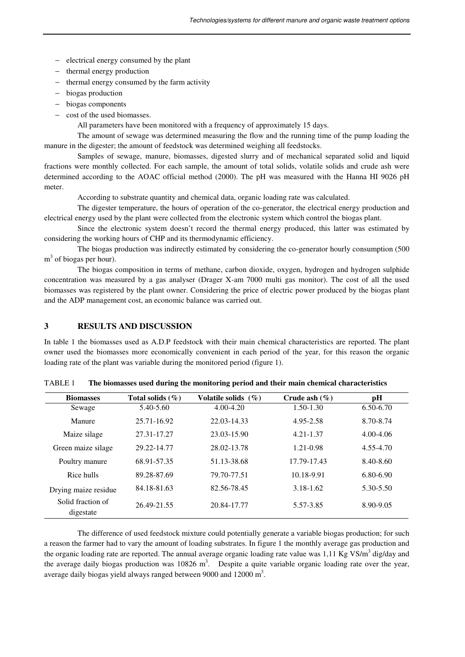- − electrical energy consumed by the plant
- − thermal energy production
- − thermal energy consumed by the farm activity
- − biogas production
- − biogas components
- − cost of the used biomasses.
	- All parameters have been monitored with a frequency of approximately 15 days.

The amount of sewage was determined measuring the flow and the running time of the pump loading the manure in the digester; the amount of feedstock was determined weighing all feedstocks.

Samples of sewage, manure, biomasses, digested slurry and of mechanical separated solid and liquid fractions were monthly collected. For each sample, the amount of total solids, volatile solids and crude ash were determined according to the AOAC official method (2000). The pH was measured with the Hanna HI 9026 pH meter.

According to substrate quantity and chemical data, organic loading rate was calculated.

The digester temperature, the hours of operation of the co-generator, the electrical energy production and electrical energy used by the plant were collected from the electronic system which control the biogas plant.

Since the electronic system doesn't record the thermal energy produced, this latter was estimated by considering the working hours of CHP and its thermodynamic efficiency.

The biogas production was indirectly estimated by considering the co-generator hourly consumption (500 m<sup>3</sup> of biogas per hour).

The biogas composition in terms of methane, carbon dioxide, oxygen, hydrogen and hydrogen sulphide concentration was measured by a gas analyser (Drager X-am 7000 multi gas monitor). The cost of all the used biomasses was registered by the plant owner. Considering the price of electric power produced by the biogas plant and the ADP management cost, an economic balance was carried out.

#### **3 RESULTS AND DISCUSSION**

In table 1 the biomasses used as A.D.P feedstock with their main chemical characteristics are reported. The plant owner used the biomasses more economically convenient in each period of the year, for this reason the organic loading rate of the plant was variable during the monitored period (figure 1).

| <b>Biomasses</b>               | Total solids $(\%)$ | Volatile solids $(\% )$ | Crude ash $(\% )$ | pH            |
|--------------------------------|---------------------|-------------------------|-------------------|---------------|
| Sewage                         | 5.40-5.60           | $4.00 - 4.20$           | $1.50 - 1.30$     | 6.50-6.70     |
| Manure                         | 25.71-16.92         | 22.03-14.33             | 4.95-2.58         | 8.70-8.74     |
| Maize silage                   | 27.31-17.27         | 23.03-15.90             | 4.21-1.37         | $4.00 - 4.06$ |
| Green maize silage             | 29.22-14.77         | 28.02-13.78             | 1.21-0.98         | 4.55-4.70     |
| Poultry manure                 | 68.91-57.35         | 51.13-38.68             | 17.79-17.43       | 8.40-8.60     |
| Rice hulls                     | 89.28-87.69         | 79.70-77.51             | 10.18-9.91        | 6.80-6.90     |
| Drying maize residue           | 84.18-81.63         | 82.56-78.45             | $3.18 - 1.62$     | 5.30-5.50     |
| Solid fraction of<br>digestate | 26.49-21.55         | 20.84-17.77             | 5.57-3.85         | 8.90-9.05     |

TABLE 1 **The biomasses used during the monitoring period and their main chemical characteristics** 

The difference of used feedstock mixture could potentially generate a variable biogas production; for such a reason the farmer had to vary the amount of loading substrates. In figure 1 the monthly average gas production and the organic loading rate are reported. The annual average organic loading rate value was 1,11 Kg VS/m<sup>3</sup> dig/day and the average daily biogas production was  $10826 \text{ m}^3$ . Despite a quite variable organic loading rate over the year, average daily biogas yield always ranged between 9000 and  $12000 \text{ m}^3$ .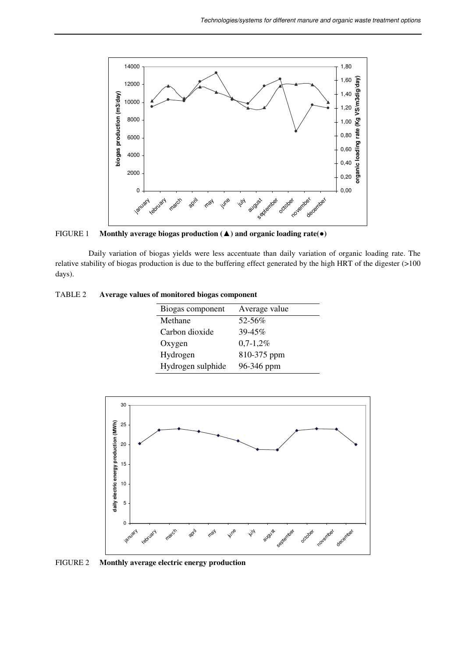

FIGURE 1 **Monthly average biogas production (**▲**) and organic loading rate(**●**)** 

Daily variation of biogas yields were less accentuate than daily variation of organic loading rate. The relative stability of biogas production is due to the buffering effect generated by the high HRT of the digester (>100 days).

| TABLE 2 | Average values of monitored biogas component |  |  |  |
|---------|----------------------------------------------|--|--|--|
|---------|----------------------------------------------|--|--|--|

| Biogas component  | Average value |  |  |
|-------------------|---------------|--|--|
| Methane           | 52-56%        |  |  |
| Carbon dioxide    | $39 - 45\%$   |  |  |
| Oxygen            | $0,7-1,2%$    |  |  |
| Hydrogen          | 810-375 ppm   |  |  |
| Hydrogen sulphide | 96-346 ppm    |  |  |



FIGURE 2 **Monthly average electric energy production**